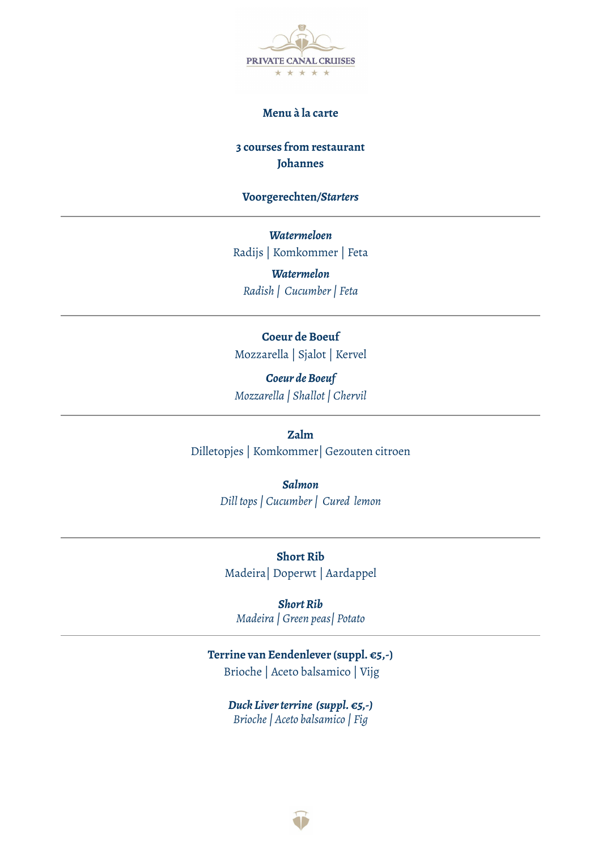

## **Menu à la carte**

# **3 courses from restaurant Johannes**

### **Voorgerechten***/Starters*

*Watermeloen* Radijs | Komkommer | Feta

*Watermelon Radish | Cucumber| Feta*

## **Coeur de Boeuf**

Mozzarella | Sjalot | Kervel

*Coeur deBoeuf Mozzarella | Shallot| Chervil*

**Zalm**

Dilletopjes | Komkommer| Gezouten citroen

*Salmon Dill tops| Cucumber| Cured lemon*

**Short Rib** Madeira| Doperwt | Aardappel

*ShortRib Madeira | Green peas| Potato*

## **Terrine van Eendenlever (suppl. €5,-)** Brioche | Aceto balsamico | Vijg

*Duck Liver terrine* (*suppl.* €5,-) *Brioche| Aceto balsamico | Fig*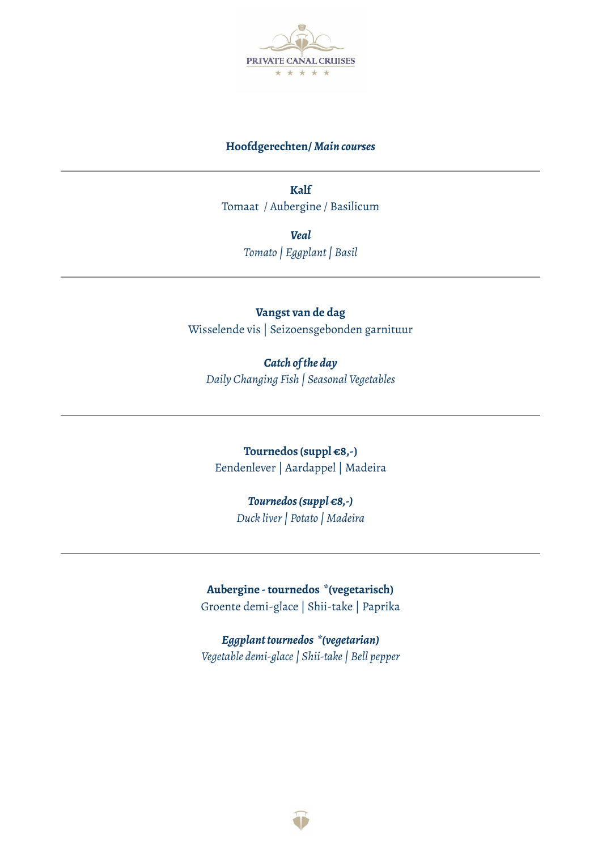

## **Hoofdgerechten/** *Main courses*

**Kalf** Tomaat / Aubergine / Basilicum

> *Veal Tomato | Eggplant| Basil*

# **Vangst van de dag** Wisselende vis | Seizoensgebonden garnituur

*Catch ofthe day Daily Changing Fish | Seasonal Vegetables*

**Tournedos (suppl €8,-)** Eendenlever | Aardappel | Madeira

# *Tournedos(suppl €8,-)*

*Duck liver| Potato | Madeira*

**Aubergine -tournedos \*(vegetarisch)** Groente demi-glace | Shii-take | Paprika

*Eggplanttournedos \*(vegetarian) Vegetable demi-glace| Shii-take| Bell pepper*